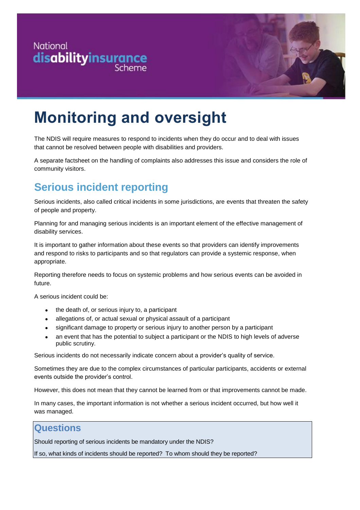

# **Monitoring and oversight**

The NDIS will require measures to respond to incidents when they do occur and to deal with issues that cannot be resolved between people with disabilities and providers.

A separate factsheet on the handling of complaints also addresses this issue and considers the role of community visitors.

## **Serious incident reporting**

Serious incidents, also called critical incidents in some jurisdictions, are events that threaten the safety of people and property.

Planning for and managing serious incidents is an important element of the effective management of disability services.

It is important to gather information about these events so that providers can identify improvements and respond to risks to participants and so that regulators can provide a systemic response, when appropriate.

Reporting therefore needs to focus on systemic problems and how serious events can be avoided in future.

A serious incident could be:

- the death of, or serious injury to, a participant
- allegations of, or actual sexual or physical assault of a participant
- significant damage to property or serious injury to another person by a participant
- an event that has the potential to subject a participant or the NDIS to high levels of adverse public scrutiny.

Serious incidents do not necessarily indicate concern about a provider's quality of service.

Sometimes they are due to the complex circumstances of particular participants, accidents or external events outside the provider's control.

However, this does not mean that they cannot be learned from or that improvements cannot be made.

In many cases, the important information is not whether a serious incident occurred, but how well it was managed.

### **Questions**

Should reporting of serious incidents be mandatory under the NDIS?

If so, what kinds of incidents should be reported? To whom should they be reported?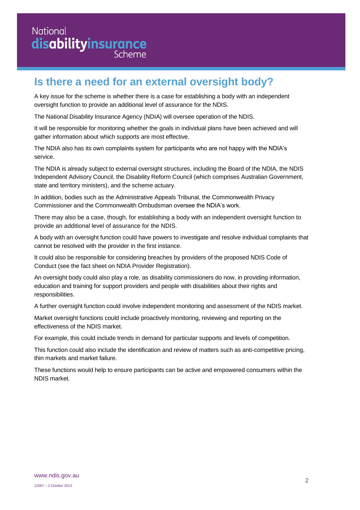### National disabilityinsurance Scheme

## **Is there a need for an external oversight body?**

A key issue for the scheme is whether there is a case for establishing a body with an independent oversight function to provide an additional level of assurance for the NDIS.

The National Disability Insurance Agency (NDIA) will oversee operation of the NDIS.

It will be responsible for monitoring whether the goals in individual plans have been achieved and will gather information about which supports are most effective.

The NDIA also has its own complaints system for participants who are not happy with the NDIA's service.

The NDIA is already subject to external oversight structures, including the Board of the NDIA, the NDIS Independent Advisory Council, the Disability Reform Council (which comprises Australian Government, state and territory ministers), and the scheme actuary.

In addition, bodies such as the Administrative Appeals Tribunal, the Commonwealth Privacy Commissioner and the Commonwealth Ombudsman oversee the NDIA's work.

There may also be a case, though, for establishing a body with an independent oversight function to provide an additional level of assurance for the NDIS.

A body with an oversight function could have powers to investigate and resolve individual complaints that cannot be resolved with the provider in the first instance.

It could also be responsible for considering breaches by providers of the proposed NDIS Code of Conduct (see the fact sheet on NDIA Provider Registration).

An oversight body could also play a role, as disability commissioners do now, in providing information, education and training for support providers and people with disabilities about their rights and responsibilities.

A further oversight function could involve independent monitoring and assessment of the NDIS market.

Market oversight functions could include proactively monitoring, reviewing and reporting on the effectiveness of the NDIS market.

For example, this could include trends in demand for particular supports and levels of competition.

This function could also include the identification and review of matters such as anti-competitive pricing, thin markets and market failure.

These functions would help to ensure participants can be active and empowered consumers within the NDIS market.